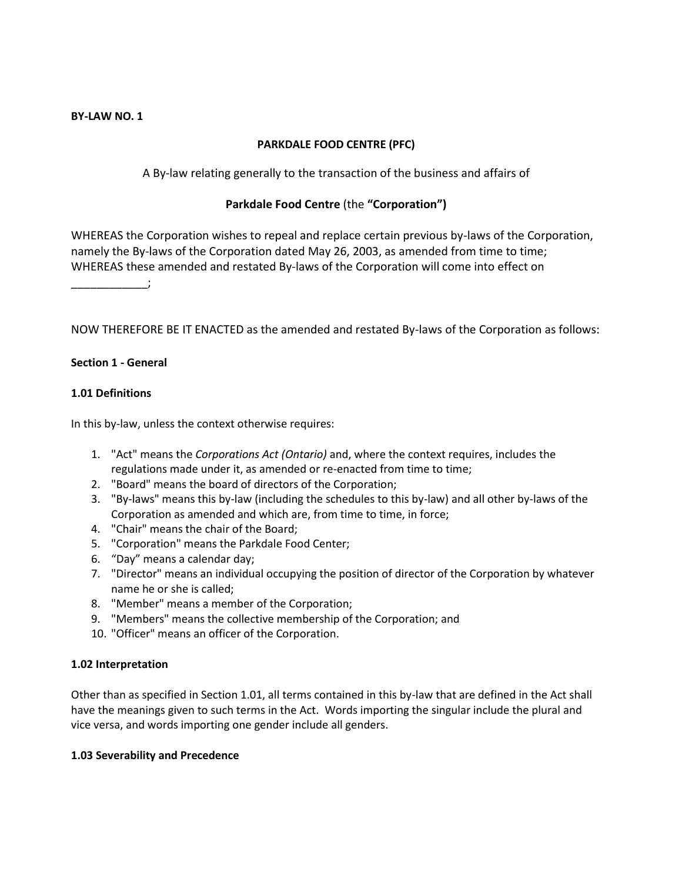## **BY-LAW NO. 1**

# **PARKDALE FOOD CENTRE (PFC)**

A By-law relating generally to the transaction of the business and affairs of

# **Parkdale Food Centre** (the **"Corporation")**

WHEREAS the Corporation wishes to repeal and replace certain previous by-laws of the Corporation, namely the By-laws of the Corporation dated May 26, 2003, as amended from time to time; WHEREAS these amended and restated By-laws of the Corporation will come into effect on

\_\_\_\_\_\_\_\_\_\_\_\_;

NOW THEREFORE BE IT ENACTED as the amended and restated By-laws of the Corporation as follows:

## **Section 1 - General**

## **1.01 Definitions**

In this by-law, unless the context otherwise requires:

- 1. "Act" means the *Corporations Act (Ontario)* and, where the context requires, includes the regulations made under it, as amended or re-enacted from time to time;
- 2. "Board" means the board of directors of the Corporation;
- 3. "By-laws" means this by-law (including the schedules to this by-law) and all other by-laws of the Corporation as amended and which are, from time to time, in force;
- 4. "Chair" means the chair of the Board;
- 5. "Corporation" means the Parkdale Food Center;
- 6. "Day" means a calendar day;
- 7. "Director" means an individual occupying the position of director of the Corporation by whatever name he or she is called;
- 8. "Member" means a member of the Corporation;
- 9. "Members" means the collective membership of the Corporation; and
- 10. "Officer" means an officer of the Corporation.

## **1.02 Interpretation**

Other than as specified in Section 1.01, all terms contained in this by-law that are defined in the Act shall have the meanings given to such terms in the Act. Words importing the singular include the plural and vice versa, and words importing one gender include all genders.

## **1.03 Severability and Precedence**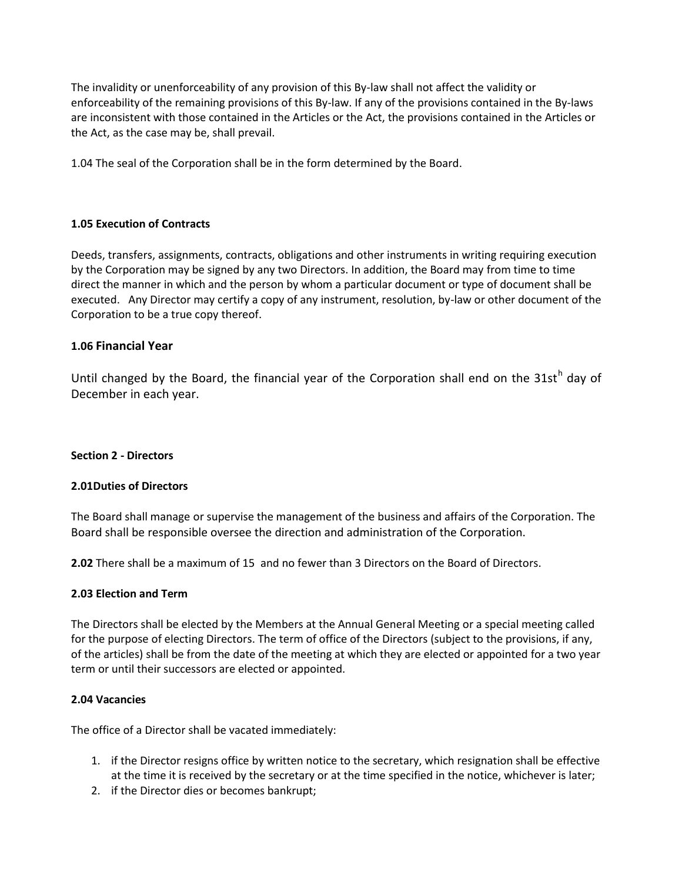The invalidity or unenforceability of any provision of this By-law shall not affect the validity or enforceability of the remaining provisions of this By-law. If any of the provisions contained in the By-laws are inconsistent with those contained in the Articles or the Act, the provisions contained in the Articles or the Act, as the case may be, shall prevail.

1.04 The seal of the Corporation shall be in the form determined by the Board.

# **1.05 Execution of Contracts**

Deeds, transfers, assignments, contracts, obligations and other instruments in writing requiring execution by the Corporation may be signed by any two Directors. In addition, the Board may from time to time direct the manner in which and the person by whom a particular document or type of document shall be executed. Any Director may certify a copy of any instrument, resolution, by-law or other document of the Corporation to be a true copy thereof.

# **1.06 Financial Year**

Until changed by the Board, the financial year of the Corporation shall end on the 31st<sup>h</sup> day of December in each year.

## **Section 2 - Directors**

## **2.01Duties of Directors**

The Board shall manage or supervise the management of the business and affairs of the Corporation. The Board shall be responsible oversee the direction and administration of the Corporation.

**2.02** There shall be a maximum of 15 and no fewer than 3 Directors on the Board of Directors.

## **2.03 Election and Term**

The Directors shall be elected by the Members at the Annual General Meeting or a special meeting called for the purpose of electing Directors. The term of office of the Directors (subject to the provisions, if any, of the articles) shall be from the date of the meeting at which they are elected or appointed for a two year term or until their successors are elected or appointed.

## **2.04 Vacancies**

The office of a Director shall be vacated immediately:

- 1. if the Director resigns office by written notice to the secretary, which resignation shall be effective at the time it is received by the secretary or at the time specified in the notice, whichever is later;
- 2. if the Director dies or becomes bankrupt;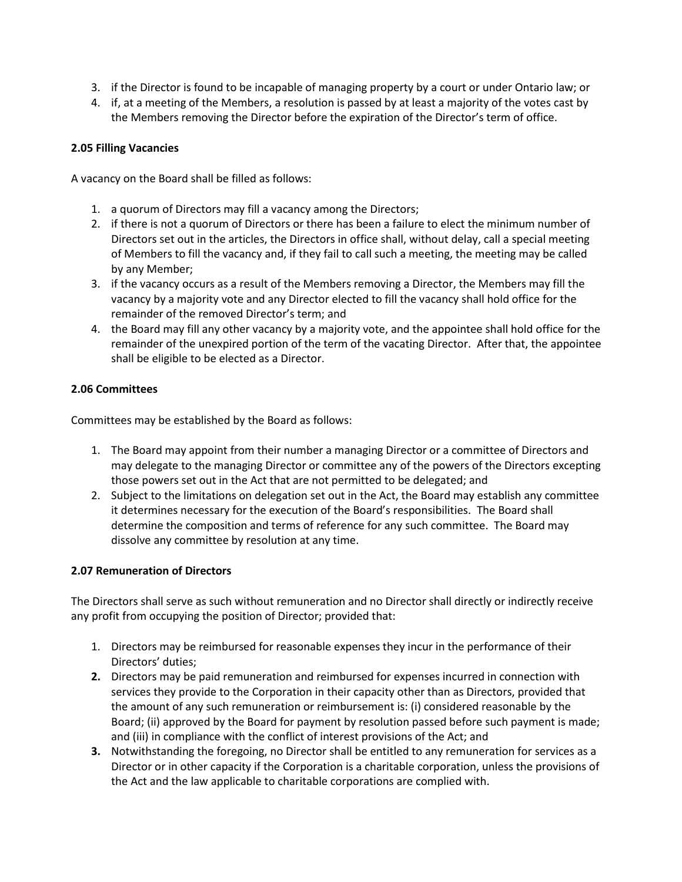- 3. if the Director is found to be incapable of managing property by a court or under Ontario law; or
- 4. if, at a meeting of the Members, a resolution is passed by at least a majority of the votes cast by the Members removing the Director before the expiration of the Director's term of office.

## **2.05 Filling Vacancies**

A vacancy on the Board shall be filled as follows:

- 1. a quorum of Directors may fill a vacancy among the Directors;
- 2. if there is not a quorum of Directors or there has been a failure to elect the minimum number of Directors set out in the articles, the Directors in office shall, without delay, call a special meeting of Members to fill the vacancy and, if they fail to call such a meeting, the meeting may be called by any Member;
- 3. if the vacancy occurs as a result of the Members removing a Director, the Members may fill the vacancy by a majority vote and any Director elected to fill the vacancy shall hold office for the remainder of the removed Director's term; and
- 4. the Board may fill any other vacancy by a majority vote, and the appointee shall hold office for the remainder of the unexpired portion of the term of the vacating Director. After that, the appointee shall be eligible to be elected as a Director.

# **2.06 Committees**

Committees may be established by the Board as follows:

- 1. The Board may appoint from their number a managing Director or a committee of Directors and may delegate to the managing Director or committee any of the powers of the Directors excepting those powers set out in the Act that are not permitted to be delegated; and
- 2. Subject to the limitations on delegation set out in the Act, the Board may establish any committee it determines necessary for the execution of the Board's responsibilities. The Board shall determine the composition and terms of reference for any such committee. The Board may dissolve any committee by resolution at any time.

## **2.07 Remuneration of Directors**

The Directors shall serve as such without remuneration and no Director shall directly or indirectly receive any profit from occupying the position of Director; provided that:

- 1. Directors may be reimbursed for reasonable expenses they incur in the performance of their Directors' duties;
- **2.** Directors may be paid remuneration and reimbursed for expenses incurred in connection with services they provide to the Corporation in their capacity other than as Directors, provided that the amount of any such remuneration or reimbursement is: (i) considered reasonable by the Board; (ii) approved by the Board for payment by resolution passed before such payment is made; and (iii) in compliance with the conflict of interest provisions of the Act; and
- **3.** Notwithstanding the foregoing, no Director shall be entitled to any remuneration for services as a Director or in other capacity if the Corporation is a charitable corporation, unless the provisions of the Act and the law applicable to charitable corporations are complied with.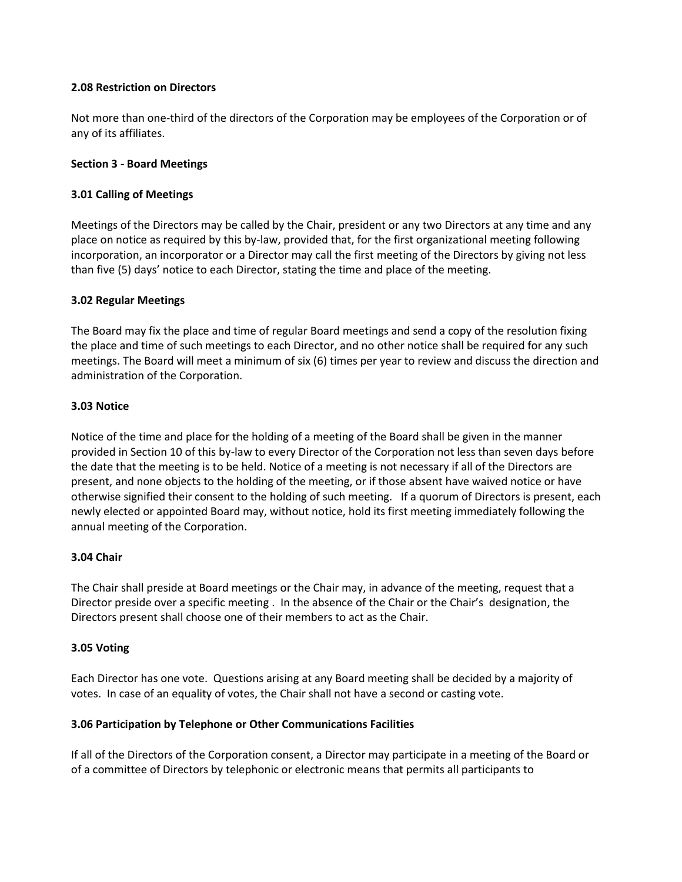## **2.08 Restriction on Directors**

Not more than one-third of the directors of the Corporation may be employees of the Corporation or of any of its affiliates.

### **Section 3 - Board Meetings**

### **3.01 Calling of Meetings**

Meetings of the Directors may be called by the Chair, president or any two Directors at any time and any place on notice as required by this by-law, provided that, for the first organizational meeting following incorporation, an incorporator or a Director may call the first meeting of the Directors by giving not less than five (5) days' notice to each Director, stating the time and place of the meeting.

#### **3.02 Regular Meetings**

The Board may fix the place and time of regular Board meetings and send a copy of the resolution fixing the place and time of such meetings to each Director, and no other notice shall be required for any such meetings. The Board will meet a minimum of six (6) times per year to review and discuss the direction and administration of the Corporation.

#### **3.03 Notice**

Notice of the time and place for the holding of a meeting of the Board shall be given in the manner provided in Section 10 of this by-law to every Director of the Corporation not less than seven days before the date that the meeting is to be held. Notice of a meeting is not necessary if all of the Directors are present, and none objects to the holding of the meeting, or if those absent have waived notice or have otherwise signified their consent to the holding of such meeting. If a quorum of Directors is present, each newly elected or appointed Board may, without notice, hold its first meeting immediately following the annual meeting of the Corporation.

## **3.04 Chair**

The Chair shall preside at Board meetings or the Chair may, in advance of the meeting, request that a Director preside over a specific meeting . In the absence of the Chair or the Chair's designation, the Directors present shall choose one of their members to act as the Chair.

## **3.05 Voting**

Each Director has one vote. Questions arising at any Board meeting shall be decided by a majority of votes. In case of an equality of votes, the Chair shall not have a second or casting vote.

## **3.06 Participation by Telephone or Other Communications Facilities**

If all of the Directors of the Corporation consent, a Director may participate in a meeting of the Board or of a committee of Directors by telephonic or electronic means that permits all participants to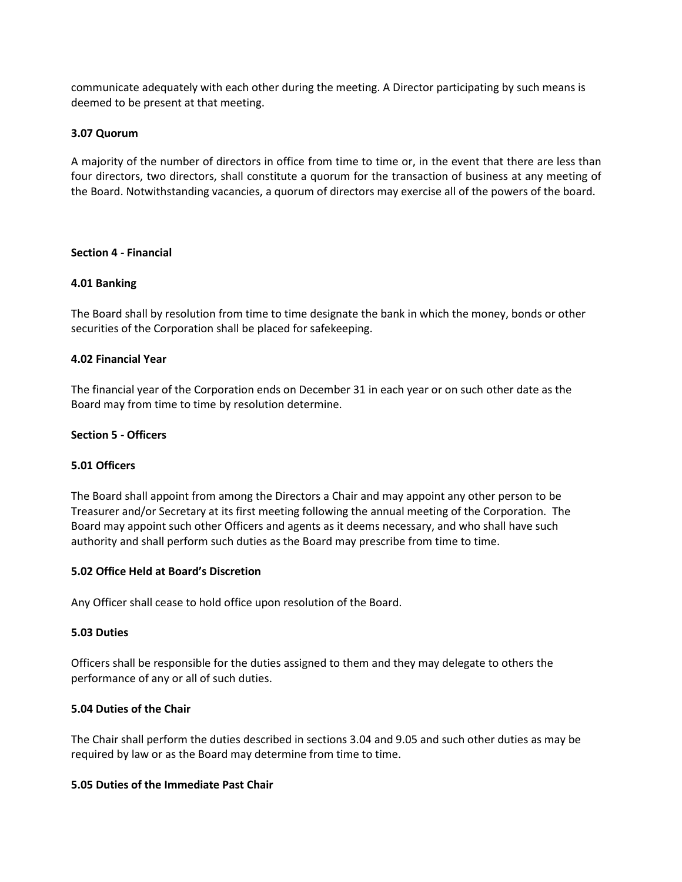communicate adequately with each other during the meeting. A Director participating by such means is deemed to be present at that meeting.

## **3.07 Quorum**

A majority of the number of directors in office from time to time or, in the event that there are less than four directors, two directors, shall constitute a quorum for the transaction of business at any meeting of the Board. Notwithstanding vacancies, a quorum of directors may exercise all of the powers of the board.

#### **Section 4 - Financial**

#### **4.01 Banking**

The Board shall by resolution from time to time designate the bank in which the money, bonds or other securities of the Corporation shall be placed for safekeeping.

#### **4.02 Financial Year**

The financial year of the Corporation ends on December 31 in each year or on such other date as the Board may from time to time by resolution determine.

### **Section 5 - Officers**

## **5.01 Officers**

The Board shall appoint from among the Directors a Chair and may appoint any other person to be Treasurer and/or Secretary at its first meeting following the annual meeting of the Corporation. The Board may appoint such other Officers and agents as it deems necessary, and who shall have such authority and shall perform such duties as the Board may prescribe from time to time.

#### **5.02 Office Held at Board's Discretion**

Any Officer shall cease to hold office upon resolution of the Board.

#### **5.03 Duties**

Officers shall be responsible for the duties assigned to them and they may delegate to others the performance of any or all of such duties.

#### **5.04 Duties of the Chair**

The Chair shall perform the duties described in sections 3.04 and 9.05 and such other duties as may be required by law or as the Board may determine from time to time.

### **5.05 Duties of the Immediate Past Chair**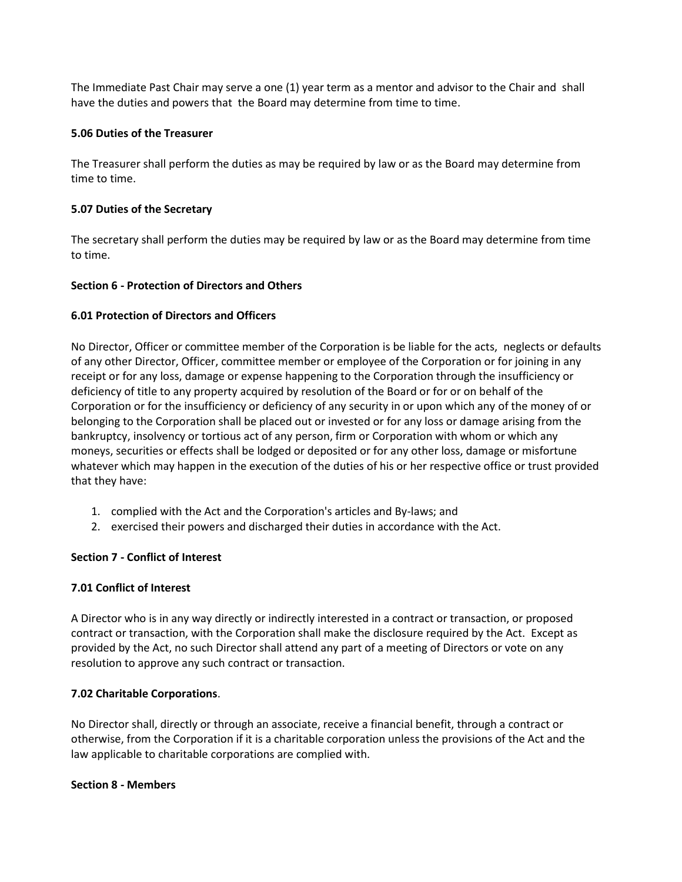The Immediate Past Chair may serve a one (1) year term as a mentor and advisor to the Chair and shall have the duties and powers that the Board may determine from time to time.

### **5.06 Duties of the Treasurer**

The Treasurer shall perform the duties as may be required by law or as the Board may determine from time to time.

### **5.07 Duties of the Secretary**

The secretary shall perform the duties may be required by law or as the Board may determine from time to time.

## **Section 6 - Protection of Directors and Others**

## **6.01 Protection of Directors and Officers**

No Director, Officer or committee member of the Corporation is be liable for the acts, neglects or defaults of any other Director, Officer, committee member or employee of the Corporation or for joining in any receipt or for any loss, damage or expense happening to the Corporation through the insufficiency or deficiency of title to any property acquired by resolution of the Board or for or on behalf of the Corporation or for the insufficiency or deficiency of any security in or upon which any of the money of or belonging to the Corporation shall be placed out or invested or for any loss or damage arising from the bankruptcy, insolvency or tortious act of any person, firm or Corporation with whom or which any moneys, securities or effects shall be lodged or deposited or for any other loss, damage or misfortune whatever which may happen in the execution of the duties of his or her respective office or trust provided that they have:

- 1. complied with the Act and the Corporation's articles and By-laws; and
- 2. exercised their powers and discharged their duties in accordance with the Act.

## **Section 7 - Conflict of Interest**

## **7.01 Conflict of Interest**

A Director who is in any way directly or indirectly interested in a contract or transaction, or proposed contract or transaction, with the Corporation shall make the disclosure required by the Act. Except as provided by the Act, no such Director shall attend any part of a meeting of Directors or vote on any resolution to approve any such contract or transaction.

## **7.02 Charitable Corporations**.

No Director shall, directly or through an associate, receive a financial benefit, through a contract or otherwise, from the Corporation if it is a charitable corporation unless the provisions of the Act and the law applicable to charitable corporations are complied with.

#### **Section 8 - Members**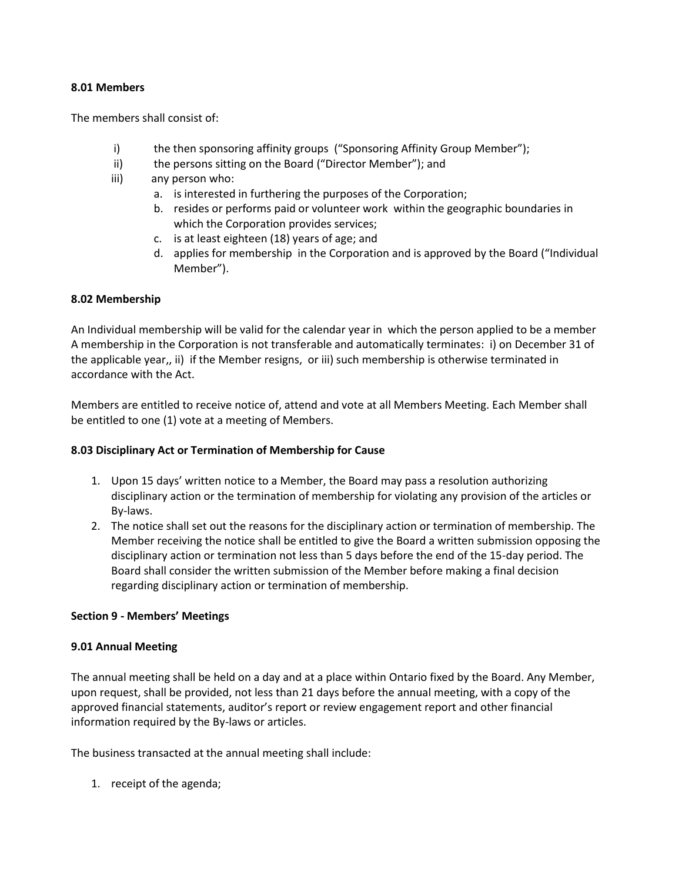### **8.01 Members**

The members shall consist of:

- i) the then sponsoring affinity groups ("Sponsoring Affinity Group Member");
- ii) the persons sitting on the Board ("Director Member"); and
- iii) any person who:
	- a. is interested in furthering the purposes of the Corporation;
	- b. resides or performs paid or volunteer work within the geographic boundaries in which the Corporation provides services;
	- c. is at least eighteen (18) years of age; and
	- d. applies for membership in the Corporation and is approved by the Board ("Individual Member").

## **8.02 Membership**

An Individual membership will be valid for the calendar year in which the person applied to be a member A membership in the Corporation is not transferable and automatically terminates: i) on December 31 of the applicable year,, ii) if the Member resigns, or iii) such membership is otherwise terminated in accordance with the Act.

Members are entitled to receive notice of, attend and vote at all Members Meeting. Each Member shall be entitled to one (1) vote at a meeting of Members.

## **8.03 Disciplinary Act or Termination of Membership for Cause**

- 1. Upon 15 days' written notice to a Member, the Board may pass a resolution authorizing disciplinary action or the termination of membership for violating any provision of the articles or By-laws.
- 2. The notice shall set out the reasons for the disciplinary action or termination of membership. The Member receiving the notice shall be entitled to give the Board a written submission opposing the disciplinary action or termination not less than 5 days before the end of the 15-day period. The Board shall consider the written submission of the Member before making a final decision regarding disciplinary action or termination of membership.

## **Section 9 - Members' Meetings**

## **9.01 Annual Meeting**

The annual meeting shall be held on a day and at a place within Ontario fixed by the Board. Any Member, upon request, shall be provided, not less than 21 days before the annual meeting, with a copy of the approved financial statements, auditor's report or review engagement report and other financial information required by the By-laws or articles.

The business transacted at the annual meeting shall include:

1. receipt of the agenda;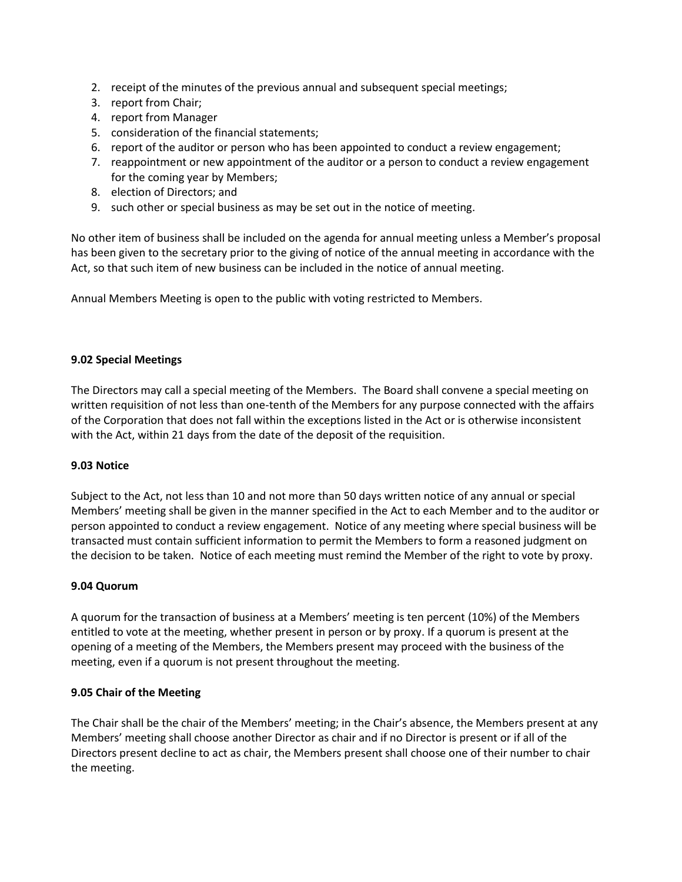- 2. receipt of the minutes of the previous annual and subsequent special meetings;
- 3. report from Chair;
- 4. report from Manager
- 5. consideration of the financial statements;
- 6. report of the auditor or person who has been appointed to conduct a review engagement;
- 7. reappointment or new appointment of the auditor or a person to conduct a review engagement for the coming year by Members;
- 8. election of Directors; and
- 9. such other or special business as may be set out in the notice of meeting.

No other item of business shall be included on the agenda for annual meeting unless a Member's proposal has been given to the secretary prior to the giving of notice of the annual meeting in accordance with the Act, so that such item of new business can be included in the notice of annual meeting.

Annual Members Meeting is open to the public with voting restricted to Members.

## **9.02 Special Meetings**

The Directors may call a special meeting of the Members. The Board shall convene a special meeting on written requisition of not less than one-tenth of the Members for any purpose connected with the affairs of the Corporation that does not fall within the exceptions listed in the Act or is otherwise inconsistent with the Act, within 21 days from the date of the deposit of the requisition.

## **9.03 Notice**

Subject to the Act, not less than 10 and not more than 50 days written notice of any annual or special Members' meeting shall be given in the manner specified in the Act to each Member and to the auditor or person appointed to conduct a review engagement. Notice of any meeting where special business will be transacted must contain sufficient information to permit the Members to form a reasoned judgment on the decision to be taken. Notice of each meeting must remind the Member of the right to vote by proxy.

## **9.04 Quorum**

A quorum for the transaction of business at a Members' meeting is ten percent (10%) of the Members entitled to vote at the meeting, whether present in person or by proxy. If a quorum is present at the opening of a meeting of the Members, the Members present may proceed with the business of the meeting, even if a quorum is not present throughout the meeting.

## **9.05 Chair of the Meeting**

The Chair shall be the chair of the Members' meeting; in the Chair's absence, the Members present at any Members' meeting shall choose another Director as chair and if no Director is present or if all of the Directors present decline to act as chair, the Members present shall choose one of their number to chair the meeting.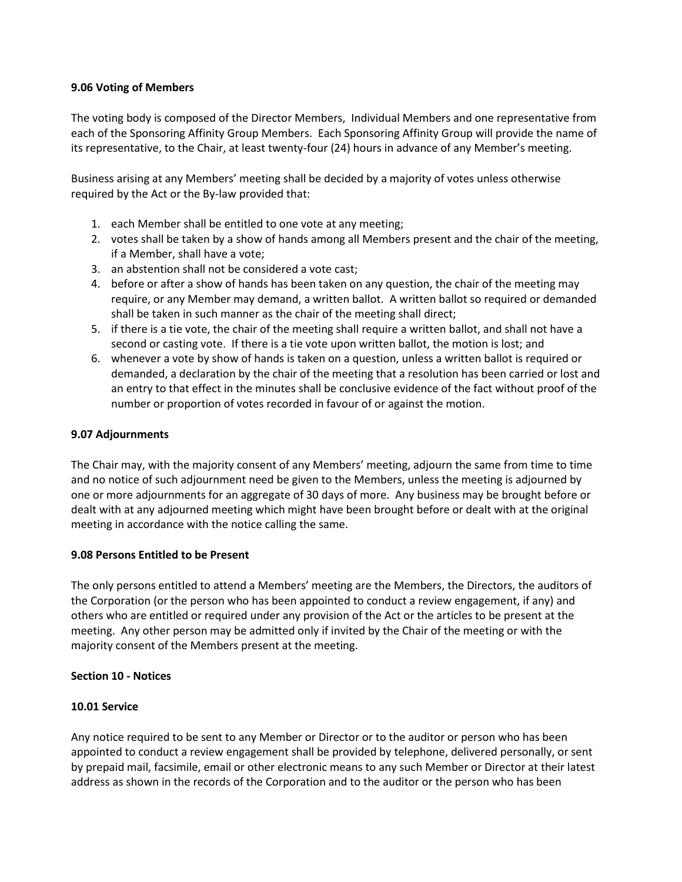## **9.06 Voting of Members**

The voting body is composed of the Director Members, Individual Members and one representative from each of the Sponsoring Affinity Group Members. Each Sponsoring Affinity Group will provide the name of its representative, to the Chair, at least twenty-four (24) hours in advance of any Member's meeting.

Business arising at any Members' meeting shall be decided by a majority of votes unless otherwise required by the Act or the By-law provided that:

- 1. each Member shall be entitled to one vote at any meeting;
- 2. votes shall be taken by a show of hands among all Members present and the chair of the meeting, if a Member, shall have a vote;
- 3. an abstention shall not be considered a vote cast;
- 4. before or after a show of hands has been taken on any question, the chair of the meeting may require, or any Member may demand, a written ballot. A written ballot so required or demanded shall be taken in such manner as the chair of the meeting shall direct;
- 5. if there is a tie vote, the chair of the meeting shall require a written ballot, and shall not have a second or casting vote. If there is a tie vote upon written ballot, the motion is lost; and
- 6. whenever a vote by show of hands is taken on a question, unless a written ballot is required or demanded, a declaration by the chair of the meeting that a resolution has been carried or lost and an entry to that effect in the minutes shall be conclusive evidence of the fact without proof of the number or proportion of votes recorded in favour of or against the motion.

#### **9.07 Adjournments**

The Chair may, with the majority consent of any Members' meeting, adjourn the same from time to time and no notice of such adjournment need be given to the Members, unless the meeting is adjourned by one or more adjournments for an aggregate of 30 days of more. Any business may be brought before or dealt with at any adjourned meeting which might have been brought before or dealt with at the original meeting in accordance with the notice calling the same.

## **9.08 Persons Entitled to be Present**

The only persons entitled to attend a Members' meeting are the Members, the Directors, the auditors of the Corporation (or the person who has been appointed to conduct a review engagement, if any) and others who are entitled or required under any provision of the Act or the articles to be present at the meeting. Any other person may be admitted only if invited by the Chair of the meeting or with the majority consent of the Members present at the meeting.

#### **Section 10 - Notices**

## **10.01 Service**

Any notice required to be sent to any Member or Director or to the auditor or person who has been appointed to conduct a review engagement shall be provided by telephone, delivered personally, or sent by prepaid mail, facsimile, email or other electronic means to any such Member or Director at their latest address as shown in the records of the Corporation and to the auditor or the person who has been